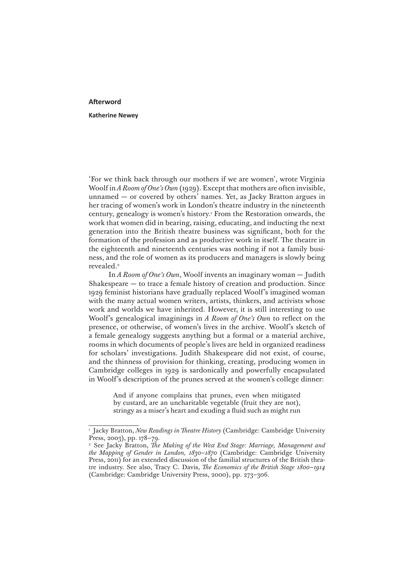## **Afterword**

## **Katherine Newey**

'For we think back through our mothers if we are women', wrote Virginia Woolf in *A Room of One's Own* (1929). Except that mothers are often invisible, unnamed — or covered by others' names. Yet, as Jacky Bratton argues in her tracing of women's work in London's theatre industry in the nineteenth century, genealogy is women's history.1 From the Restoration onwards, the work that women did in bearing, raising, educating, and inducting the next generation into the British theatre business was significant, both for the formation of the profession and as productive work in itself. The theatre in the eighteenth and nineteenth centuries was nothing if not a family business, and the role of women as its producers and managers is slowly being revealed.<sup>2</sup>

In *A Room of One's Own*, Woolf invents an imaginary woman — Judith Shakespeare — to trace a female history of creation and production. Since 1929 feminist historians have gradually replaced Woolf's imagined woman with the many actual women writers, artists, thinkers, and activists whose work and worlds we have inherited. However, it is still interesting to use Woolf's genealogical imaginings in *A Room of One's Own* to reflect on the presence, or otherwise, of women's lives in the archive. Woolf's sketch of a female genealogy suggests anything but a formal or a material archive, rooms in which documents of people's lives are held in organized readiness for scholars' investigations. Judith Shakespeare did not exist, of course, and the thinness of provision for thinking, creating, producing women in Cambridge colleges in 1929 is sardonically and powerfully encapsulated in Woolf's description of the prunes served at the women's college dinner:

> And if anyone complains that prunes, even when mitigated by custard, are an uncharitable vegetable (fruit they are not), stringy as a miser's heart and exuding a fluid such as might run

<sup>&</sup>lt;sup>1</sup> Jacky Bratton, *New Readings in Theatre History* (Cambridge: Cambridge University Press, 2003), pp. 178–79.

<sup>2</sup> See Jacky Bratton, *The Making of the West End Stage: Marriage, Management and the Mapping of Gender in London, 1830–1870* (Cambridge: Cambridge University Press, 2011) for an extended discussion of the familial structures of the British theatre industry. See also, Tracy C. Davis, *The Economics of the British Stage 1800–1914* (Cambridge: Cambridge University Press, 2000), pp. 273–306.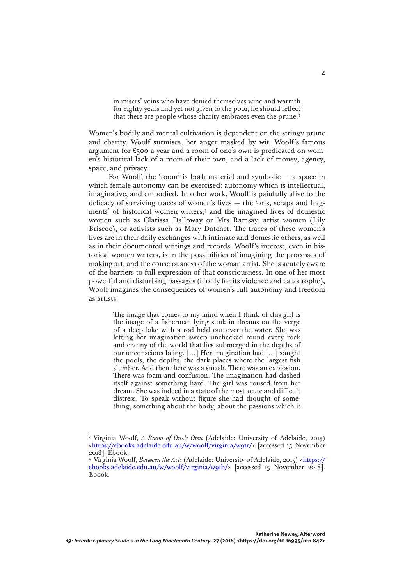in misers' veins who have denied themselves wine and warmth for eighty years and yet not given to the poor, he should reflect that there are people whose charity embraces even the prune.3

Women's bodily and mental cultivation is dependent on the stringy prune and charity, Woolf surmises, her anger masked by wit. Woolf's famous argument for £500 a year and a room of one's own is predicated on women's historical lack of a room of their own, and a lack of money, agency, space, and privacy.

For Woolf, the 'room' is both material and symbolic  $-$  a space in which female autonomy can be exercised: autonomy which is intellectual, imaginative, and embodied. In other work, Woolf is painfully alive to the delicacy of surviving traces of women's lives  $-$  the 'orts, scraps and fragments' of historical women writers,<sup>4</sup> and the imagined lives of domestic women such as Clarissa Dalloway or Mrs Ramsay, artist women (Lily Briscoe), or activists such as Mary Datchet. The traces of these women's lives are in their daily exchanges with intimate and domestic others, as well as in their documented writings and records. Woolf's interest, even in historical women writers, is in the possibilities of imagining the processes of making art, and the consciousness of the woman artist. She is acutely aware of the barriers to full expression of that consciousness. In one of her most powerful and disturbing passages (if only for its violence and catastrophe), Woolf imagines the consequences of women's full autonomy and freedom as artists:

> The image that comes to my mind when I think of this girl is the image of a fisherman lying sunk in dreams on the verge of a deep lake with a rod held out over the water. She was letting her imagination sweep unchecked round every rock and cranny of the world that lies submerged in the depths of our unconscious being. […] Her imagination had […] sought the pools, the depths, the dark places where the largest fish slumber. And then there was a smash. There was an explosion. There was foam and confusion. The imagination had dashed itself against something hard. The girl was roused from her dream. She was indeed in a state of the most acute and difficult distress. To speak without figure she had thought of something, something about the body, about the passions which it

<sup>3</sup> Virginia Woolf, *A Room of One's Own* (Adelaide: University of Adelaide, 2015) [<https://ebooks.adelaide.edu.au/w/woolf/virginia/w91r/](https://ebooks.adelaide.edu.au/w/woolf/virginia/w91r/)> [accessed 15 November 2018]. Ebook.

<sup>4</sup> Virginia Woolf, *Between the Acts* (Adelaide: University of Adelaide, 2015) <[https://](https://ebooks.adelaide.edu.au/w/woolf/virginia/w91b/) [ebooks.adelaide.edu.au/w/woolf/virginia/w91b/](https://ebooks.adelaide.edu.au/w/woolf/virginia/w91b/)> [accessed 15 November 2018]. Ebook.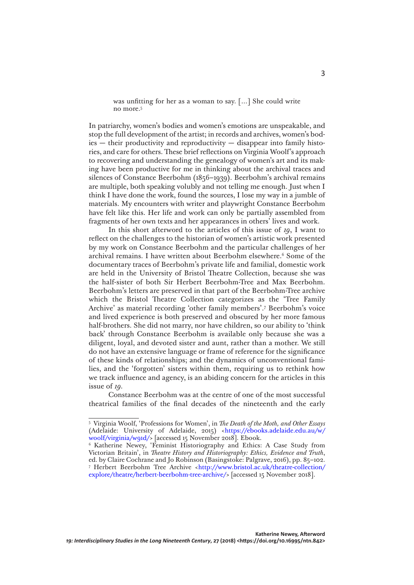was unfitting for her as a woman to say. […] She could write no more.5

In patriarchy, women's bodies and women's emotions are unspeakable, and stop the full development of the artist; in records and archives, women's bod $ies$  — their productivity and reproductivity — disappear into family histories, and care for others. These brief reflections on Virginia Woolf's approach to recovering and understanding the genealogy of women's art and its making have been productive for me in thinking about the archival traces and silences of Constance Beerbohm (1856–1939). Beerbohm's archival remains are multiple, both speaking volubly and not telling me enough. Just when I think I have done the work, found the sources, I lose my way in a jumble of materials. My encounters with writer and playwright Constance Beerbohm have felt like this. Her life and work can only be partially assembled from fragments of her own texts and her appearances in others' lives and work.

In this short afterword to the articles of this issue of *19*, I want to reflect on the challenges to the historian of women's artistic work presented by my work on Constance Beerbohm and the particular challenges of her archival remains. I have written about Beerbohm elsewhere.<sup>6</sup> Some of the documentary traces of Beerbohm's private life and familial, domestic work are held in the University of Bristol Theatre Collection, because she was the half-sister of both Sir Herbert Beerbohm-Tree and Max Beerbohm. Beerbohm's letters are preserved in that part of the Beerbohm-Tree archive which the Bristol Theatre Collection categorizes as the 'Tree Family Archive' as material recording 'other family members'.7 Beerbohm's voice and lived experience is both preserved and obscured by her more famous half-brothers. She did not marry, nor have children, so our ability to 'think back' through Constance Beerbohm is available only because she was a diligent, loyal, and devoted sister and aunt, rather than a mother. We still do not have an extensive language or frame of reference for the significance of these kinds of relationships; and the dynamics of unconventional families, and the 'forgotten' sisters within them, requiring us to rethink how we track influence and agency, is an abiding concern for the articles in this issue of *19.*

Constance Beerbohm was at the centre of one of the most successful theatrical families of the final decades of the nineteenth and the early

<sup>5</sup> Virginia Woolf, 'Professions for Women', in *The Death of the Moth, and Other Essays* (Adelaide: University of Adelaide, 2015) [<https://ebooks.adelaide.edu.au/w/](https://ebooks.adelaide.edu.au/w/woolf/virginia/w91d/) [woolf/virginia/w91d/](https://ebooks.adelaide.edu.au/w/woolf/virginia/w91d/)> [accessed 15 November 2018]. Ebook.

<sup>6</sup> Katherine Newey, 'Feminist Historiography and Ethics: A Case Study from Victorian Britain', in *Theatre History and Historiography: Ethics, Evidence and Truth*, ed. by Claire Cochrane and Jo Robinson (Basingstoke: Palgrave, 2016), pp. 85–102. <sup>7</sup> Herbert Beerbohm Tree Archive [<http://www.bristol.ac.uk/theatre-collection/](http://www.bristol.ac.uk/theatre-collection/explore/theatre/herbert-beerbohm-tree-archive/) [explore/theatre/herbert-beerbohm-tree-archive/](http://www.bristol.ac.uk/theatre-collection/explore/theatre/herbert-beerbohm-tree-archive/)> [accessed 15 November 2018].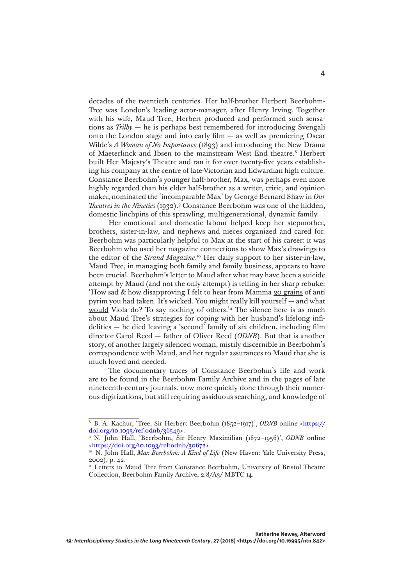decades of the twentieth centuries. Her half-brother Herbert Beerbohm-Tree was London's leading actor-manager, after Henry Irving. Together with his wife, Maud Tree, Herbert produced and performed such sensations as *Trilby* — he is perhaps best remembered for introducing Svengali onto the London stage and into early film — as well as premiering Oscar Wilde's *A Woman of No Importance* (1893) and introducing the New Drama of Maeterlinck and Ibsen to the mainstream West End theatre.<sup>8</sup> Herbert built Her Majesty's Theatre and ran it for over twenty-five years establishing his company at the centre of late-Victorian and Edwardian high culture. Constance Beerbohm's younger half-brother, Max, was perhaps even more highly regarded than his elder half-brother as a writer, critic, and opinion maker, nominated the 'incomparable Max' by George Bernard Shaw in *Our Theatres in the Nineties* (1932).9 Constance Beerbohm was one of the hidden, domestic linchpins of this sprawling, multigenerational, dynamic family.

Her emotional and domestic labour helped keep her stepmother, brothers, sister-in-law, and nephews and nieces organized and cared for. Beerbohm was particularly helpful to Max at the start of his career: it was Beerbohm who used her magazine connections to show Max's drawings to the editor of the *Strand Magazine*. 10 Her daily support to her sister-in-law, Maud Tree, in managing both family and family business, appears to have been crucial. Beerbohm's letter to Maud after what may have been a suicide attempt by Maud (and not the only attempt) is telling in her sharp rebuke: 'How sad & how disapproving I felt to hear from Mamma 20 grains of anti pyrim you had taken. It's wicked. You might really kill yourself — and what would Viola do? To say nothing of others.<sup>'11</sup> The silence here is as much about Maud Tree's strategies for coping with her husband's lifelong infidelities — he died leaving a 'second' family of six children, including film director Carol Reed — father of Oliver Reed (*ODNB*). But that is another story, of another largely silenced woman, mistily discernible in Beerbohm's correspondence with Maud, and her regular assurances to Maud that she is much loved and needed.

The documentary traces of Constance Beerbohm's life and work are to be found in the Beerbohm Family Archive and in the pages of late nineteenth-century journals, now more quickly done through their numerous digitizations, but still requiring assiduous searching, and knowledge of

<sup>8</sup> B. A. Kachur, 'Tree, Sir Herbert Beerbohm (1852–1917)', *ODNB* online <[https://](https://doi.org/10.1093/ref:odnb/36549) [doi.org/10.1093/ref:odnb/36549>](https://doi.org/10.1093/ref:odnb/36549).

<sup>9</sup> N. John Hall, 'Beerbohm, Sir Henry Maximilian (1872–1956)', *ODNB* online [<https://doi.org/10.1093/ref:odnb/30672>](https://doi.org/10.1093/ref:odnb/30672).

<sup>&</sup>lt;sup>10</sup> N. John Hall, *Max Beerbohm: A Kind of Life* (New Haven: Yale University Press, 2002), p. 42.

<sup>&</sup>lt;sup>11</sup> Letters to Maud Tree from Constance Beerbohm, University of Bristol Theatre Collection, Beerbohm Family Archive, 2.8/A3/ MBTC 14.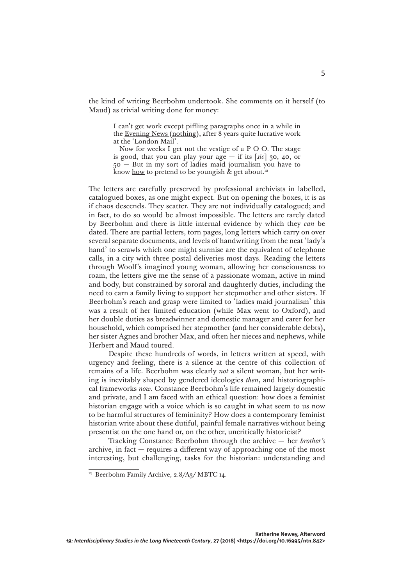the kind of writing Beerbohm undertook. She comments on it herself (to Maud) as trivial writing done for money:

> I can't get work except piffling paragraphs once in a while in the Evening News (nothing), after 8 years quite lucrative work at the 'London Mail'.

> Now for weeks I get not the vestige of a P O O. The stage is good, that you can play your  $age - if$  its  $\lceil \text{sic} \rceil$  30, 40, or 50 — But in my sort of ladies maid journalism you have to know how to pretend to be youngish  $\&$  get about.<sup>12</sup>

The letters are carefully preserved by professional archivists in labelled, catalogued boxes, as one might expect. But on opening the boxes, it is as if chaos descends. They scatter. They are not individually catalogued; and in fact, to do so would be almost impossible. The letters are rarely dated by Beerbohm and there is little internal evidence by which they *can* be dated. There are partial letters, torn pages, long letters which carry on over several separate documents, and levels of handwriting from the neat 'lady's hand' to scrawls which one might surmise are the equivalent of telephone calls, in a city with three postal deliveries most days. Reading the letters through Woolf's imagined young woman, allowing her consciousness to roam, the letters give me the sense of a passionate woman, active in mind and body, but constrained by sororal and daughterly duties, including the need to earn a family living to support her stepmother and other sisters. If Beerbohm's reach and grasp were limited to 'ladies maid journalism' this was a result of her limited education (while Max went to Oxford), and her double duties as breadwinner and domestic manager and carer for her household, which comprised her stepmother (and her considerable debts), her sister Agnes and brother Max, and often her nieces and nephews, while Herbert and Maud toured.

Despite these hundreds of words, in letters written at speed, with urgency and feeling, there is a silence at the centre of this collection of remains of a life. Beerbohm was clearly *not* a silent woman, but her writing is inevitably shaped by gendered ideologies *then*, and historiographical frameworks *now*. Constance Beerbohm's life remained largely domestic and private, and I am faced with an ethical question: how does a feminist historian engage with a voice which is so caught in what seem to us now to be harmful structures of femininity? How does a contemporary feminist historian write about these dutiful, painful female narratives without being presentist on the one hand or, on the other, uncritically historicist?

Tracking Constance Beerbohm through the archive — her *brother's* archive, in fact — requires a different way of approaching one of the most interesting, but challenging, tasks for the historian: understanding and

<sup>&</sup>lt;sup>12</sup> Beerbohm Family Archive, 2.8/A3/ MBTC 14.